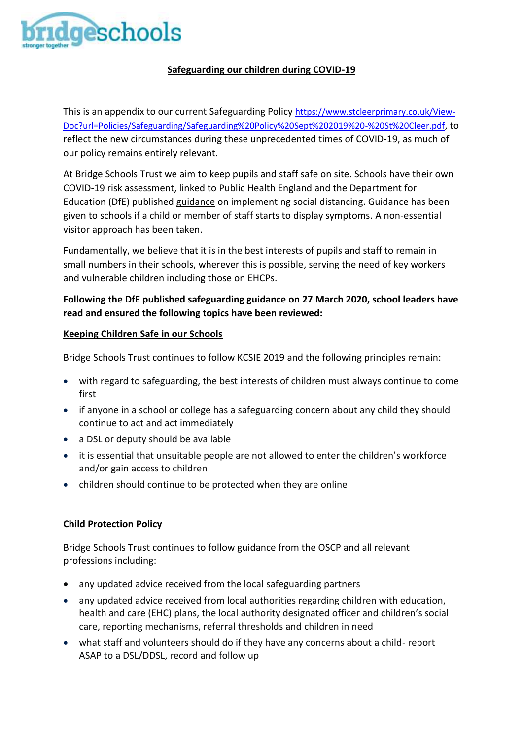

# **Safeguarding our children during COVID-19**

This is an appendix to our current Safeguarding Policy [https://www.stcleerprimary.co.uk/View-](https://www.stcleerprimary.co.uk/View-Doc?url=Policies/Safeguarding/Safeguarding%20Policy%20Sept%202019%20-%20St%20Cleer.pdf)[Doc?url=Policies/Safeguarding/Safeguarding%20Policy%20Sept%202019%20-%20St%20Cleer.pdf](https://www.stcleerprimary.co.uk/View-Doc?url=Policies/Safeguarding/Safeguarding%20Policy%20Sept%202019%20-%20St%20Cleer.pdf), to reflect the new circumstances during these unprecedented times of COVID-19, as much of our policy remains entirely relevant.

At Bridge Schools Trust we aim to keep pupils and staff safe on site. Schools have their own COVID-19 risk assessment, linked to Public Health England and the Department for Education (DfE) published [guidance](https://www.gov.uk/government/publications/coronavirus-covid-19-implementing-social-distancing-in-education-and-childcare-settings/coronavirus-covid-19-implementing-social-distancing-in-education-and-childcare-settings) on implementing social distancing. Guidance has been given to schools if a child or member of staff starts to display symptoms. A non-essential visitor approach has been taken.

Fundamentally, we believe that it is in the best interests of pupils and staff to remain in small numbers in their schools, wherever this is possible, serving the need of key workers and vulnerable children including those on EHCPs.

# **Following the DfE published safeguarding guidance on 27 March 2020, school leaders have read and ensured the following topics have been reviewed:**

## **Keeping Children Safe in our Schools**

Bridge Schools Trust continues to follow KCSIE 2019 and the following principles remain:

- with regard to safeguarding, the best interests of children must always continue to come first
- if anyone in a school or college has a safeguarding concern about any child they should continue to act and act immediately
- a DSL or deputy should be available
- it is essential that unsuitable people are not allowed to enter the children's workforce and/or gain access to children
- children should continue to be protected when they are online

## **Child Protection Policy**

Bridge Schools Trust continues to follow guidance from the OSCP and all relevant professions including:

- any updated advice received from the local safeguarding partners
- any updated advice received from local authorities regarding children with education, health and care (EHC) plans, the local authority designated officer and children's social care, reporting mechanisms, referral thresholds and children in need
- what staff and volunteers should do if they have any concerns about a child- report ASAP to a DSL/DDSL, record and follow up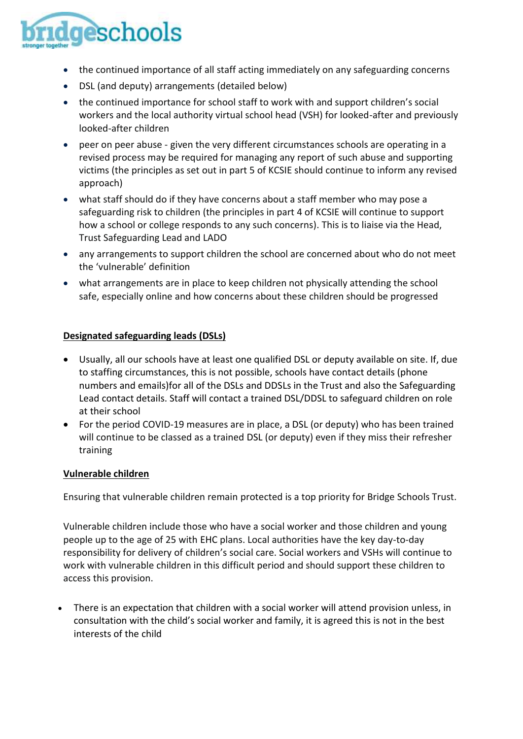

- the continued importance of all staff acting immediately on any safeguarding concerns
- DSL (and deputy) arrangements (detailed below)
- the continued importance for school staff to work with and support children's social workers and the local authority virtual school head (VSH) for looked-after and previously looked-after children
- peer on peer abuse given the very different circumstances schools are operating in a revised process may be required for managing any report of such abuse and supporting victims (the principles as set out in part 5 of KCSIE should continue to inform any revised approach)
- what staff should do if they have concerns about a staff member who may pose a safeguarding risk to children (the principles in part 4 of KCSIE will continue to support how a school or college responds to any such concerns). This is to liaise via the Head, Trust Safeguarding Lead and LADO
- any arrangements to support children the school are concerned about who do not meet the 'vulnerable' definition
- what arrangements are in place to keep children not physically attending the school safe, especially online and how concerns about these children should be progressed

#### **Designated safeguarding leads (DSLs)**

- Usually, all our schools have at least one qualified DSL or deputy available on site. If, due to staffing circumstances, this is not possible, schools have contact details (phone numbers and emails)for all of the DSLs and DDSLs in the Trust and also the Safeguarding Lead contact details. Staff will contact a trained DSL/DDSL to safeguard children on role at their school
- For the period COVID-19 measures are in place, a DSL (or deputy) who has been trained will continue to be classed as a trained DSL (or deputy) even if they miss their refresher training

#### **Vulnerable children**

Ensuring that vulnerable children remain protected is a top priority for Bridge Schools Trust.

Vulnerable children include those who have a social worker and those children and young people up to the age of 25 with EHC plans. Local authorities have the key day-to-day responsibility for delivery of children's social care. Social workers and VSHs will continue to work with vulnerable children in this difficult period and should support these children to access this provision.

 There is an expectation that children with a social worker will attend provision unless, in consultation with the child's social worker and family, it is agreed this is not in the best interests of the child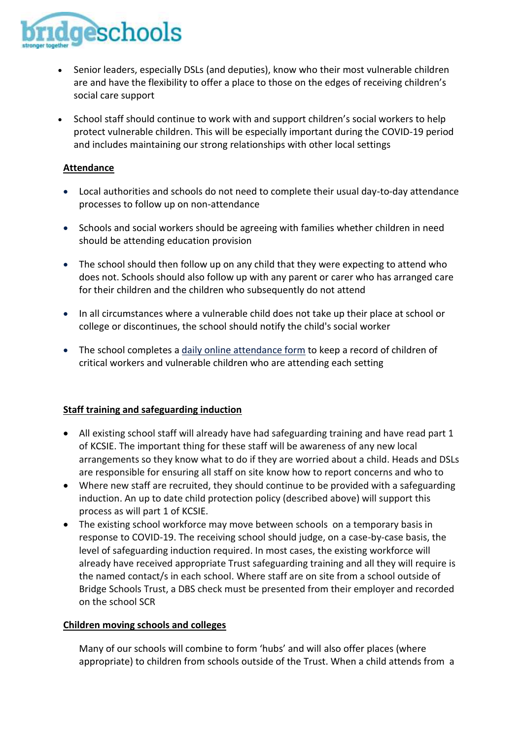

- Senior leaders, especially DSLs (and deputies), know who their most vulnerable children are and have the flexibility to offer a place to those on the edges of receiving children's social care support
- School staff should continue to work with and support children's social workers to help protect vulnerable children. This will be especially important during the COVID-19 period and includes maintaining our strong relationships with other local settings

### **Attendance**

- Local authorities and schools do not need to complete their usual day-to-day attendance processes to follow up on non-attendance
- Schools and social workers should be agreeing with families whether children in need should be attending education provision
- The school should then follow up on any child that they were expecting to attend who does not. Schools should also follow up with any parent or carer who has arranged care for their children and the children who subsequently do not attend
- In all circumstances where a vulnerable child does not take up their place at school or college or discontinues, the school should notify the child's social worker
- The school completes a [daily online attendance form](https://www.gov.uk/government/publications/coronavirus-covid-19-attendance-recording-for-educational-settings) to keep a record of children of critical workers and vulnerable children who are attending each setting

#### **Staff training and safeguarding induction**

- All existing school staff will already have had safeguarding training and have read part 1 of KCSIE. The important thing for these staff will be awareness of any new local arrangements so they know what to do if they are worried about a child. Heads and DSLs are responsible for ensuring all staff on site know how to report concerns and who to
- Where new staff are recruited, they should continue to be provided with a safeguarding induction. An up to date child protection policy (described above) will support this process as will part 1 of KCSIE.
- The existing school workforce may move between schools on a temporary basis in response to COVID-19. The receiving school should judge, on a case-by-case basis, the level of safeguarding induction required. In most cases, the existing workforce will already have received appropriate Trust safeguarding training and all they will require is the named contact/s in each school. Where staff are on site from a school outside of Bridge Schools Trust, a DBS check must be presented from their employer and recorded on the school SCR

#### **Children moving schools and colleges**

Many of our schools will combine to form 'hubs' and will also offer places (where appropriate) to children from schools outside of the Trust. When a child attends from a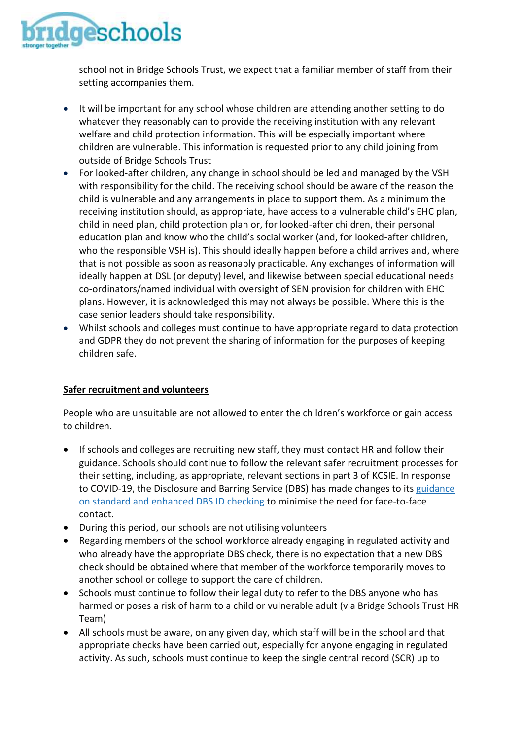

school not in Bridge Schools Trust, we expect that a familiar member of staff from their setting accompanies them.

- It will be important for any school whose children are attending another setting to do whatever they reasonably can to provide the receiving institution with any relevant welfare and child protection information. This will be especially important where children are vulnerable. This information is requested prior to any child joining from outside of Bridge Schools Trust
- For looked-after children, any change in school should be led and managed by the VSH with responsibility for the child. The receiving school should be aware of the reason the child is vulnerable and any arrangements in place to support them. As a minimum the receiving institution should, as appropriate, have access to a vulnerable child's EHC plan, child in need plan, child protection plan or, for looked-after children, their personal education plan and know who the child's social worker (and, for looked-after children, who the responsible VSH is). This should ideally happen before a child arrives and, where that is not possible as soon as reasonably practicable. Any exchanges of information will ideally happen at DSL (or deputy) level, and likewise between special educational needs co-ordinators/named individual with oversight of SEN provision for children with EHC plans. However, it is acknowledged this may not always be possible. Where this is the case senior leaders should take responsibility.
- Whilst schools and colleges must continue to have appropriate regard to data protection and GDPR they do not prevent the sharing of information for the purposes of keeping children safe.

## **Safer recruitment and volunteers**

People who are unsuitable are not allowed to enter the children's workforce or gain access to children.

- If schools and colleges are recruiting new staff, they must contact HR and follow their guidance. Schools should continue to follow the relevant safer recruitment processes for their setting, including, as appropriate, relevant sections in part 3 of KCSIE. In response to COVID-19, the Disclosure and Barring Service (DBS) has made changes to it[s guidance](https://www.gov.uk/government/news/covid-19-changes-to-standard-and-enhanced-id-checking-guidelines) on standard and [enhanced](https://www.gov.uk/government/news/covid-19-changes-to-standard-and-enhanced-id-checking-guidelines) DBS ID checking to minimise the need for face-to-face contact.
- During this period, our schools are not utilising volunteers
- Regarding members of the school workforce already engaging in regulated activity and who already have the appropriate DBS check, there is no expectation that a new DBS check should be obtained where that member of the workforce temporarily moves to another school or college to support the care of children.
- Schools must continue to follow their legal duty to refer to the DBS anyone who has harmed or poses a risk of harm to a child or vulnerable adult (via Bridge Schools Trust HR Team)
- All schools must be aware, on any given day, which staff will be in the school and that appropriate checks have been carried out, especially for anyone engaging in regulated activity. As such, schools must continue to keep the single central record (SCR) up to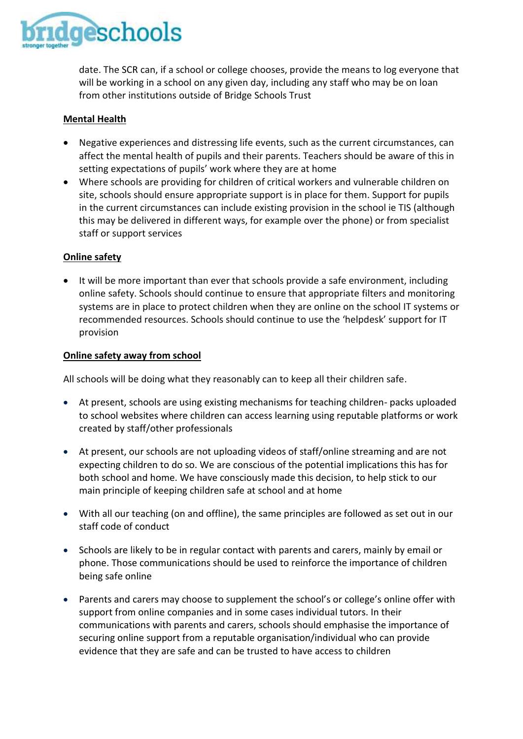

date. The SCR can, if a school or college chooses, provide the means to log everyone that will be working in a school on any given day, including any staff who may be on loan from other institutions outside of Bridge Schools Trust

## **Mental Health**

- Negative experiences and distressing life events, such as the current circumstances, can affect the mental health of pupils and their parents. Teachers should be aware of this in setting expectations of pupils' work where they are at home
- Where schools are providing for children of critical workers and vulnerable children on site, schools should ensure appropriate support is in place for them. Support for pupils in the current circumstances can include existing provision in the school ie TIS (although this may be delivered in different ways, for example over the phone) or from specialist staff or support services

#### **Online safety**

• It will be more important than ever that schools provide a safe environment, including online safety. Schools should continue to ensure that appropriate filters and monitoring systems are in place to protect children when they are online on the school IT systems or recommended resources. Schools should continue to use the 'helpdesk' support for IT provision

#### **Online safety away from school**

All schools will be doing what they reasonably can to keep all their children safe.

- At present, schools are using existing mechanisms for teaching children- packs uploaded to school websites where children can access learning using reputable platforms or work created by staff/other professionals
- At present, our schools are not uploading videos of staff/online streaming and are not expecting children to do so. We are conscious of the potential implications this has for both school and home. We have consciously made this decision, to help stick to our main principle of keeping children safe at school and at home
- With all our teaching (on and offline), the same principles are followed as set out in our staff code of conduct
- Schools are likely to be in regular contact with parents and carers, mainly by email or phone. Those communications should be used to reinforce the importance of children being safe online
- Parents and carers may choose to supplement the school's or college's online offer with support from online companies and in some cases individual tutors. In their communications with parents and carers, schools should emphasise the importance of securing online support from a reputable organisation/individual who can provide evidence that they are safe and can be trusted to have access to children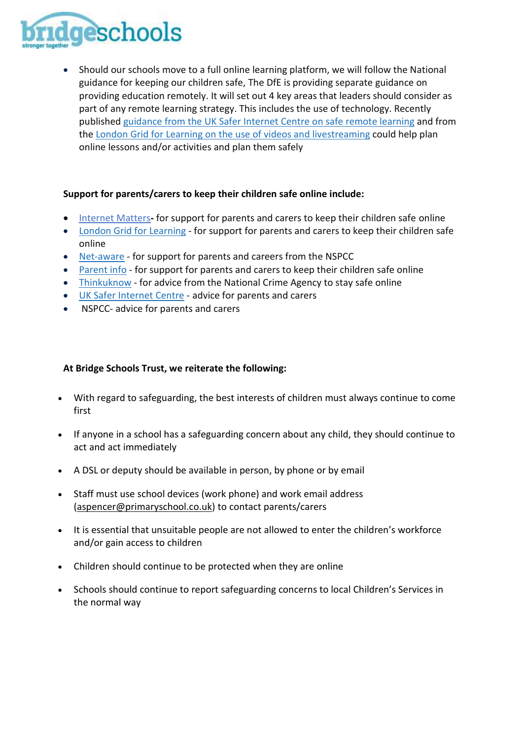

 Should our schools move to a full online learning platform, we will follow the National guidance for keeping our children safe, The DfE is providing separate guidance on providing education remotely. It will set out 4 key areas that leaders should consider as part of any remote learning strategy. This includes the use of technology. Recently published [guidance](https://swgfl.org.uk/resources/safe-remote-learning/) from the UK Safer Internet Centre on safe remote learning and from the London Grid for Learning on the use of videos and [livestreaming](https://static.lgfl.net/LgflNet/downloads/digisafe/Safe-Lessons-by-Video-and-Livestream.pdf) could help plan online lessons and/or activities and plan them safely

#### **Support for parents/carers to keep their children safe online include:**

- Internet Matters**-** for support for parents and carers to keep their children safe online
- London Grid for [Learning](http://www.lgfl.net/online-safety/) for support for parents and carers to keep their children safe online
- [Net-aware](https://www.net-aware.org.uk/) for support for parents and careers from the NSPCC
- [Parent](https://parentinfo.org/) info for support for parents and carers to keep their children safe online
- [Thinkuknow](http://www.thinkuknow.co.uk/) for advice from the National Crime Agency to stay safe online
- UK Safer [Internet](https://www.saferinternet.org.uk/advice-centre/parents-and-carers) Centre advice for parents and carers
- NSPCC- advice for parents and carers

### **At Bridge Schools Trust, we reiterate the following:**

- With regard to safeguarding, the best interests of children must always continue to come first
- If anyone in a school has a safeguarding concern about any child, they should continue to act and act immediately
- A DSL or deputy should be available in person, by phone or by email
- Staff must use school devices (work phone) and work email address [\(aspencer@primaryschool.co.uk\)](mailto:aspencer@primaryschool.co.uk) to contact parents/carers
- It is essential that unsuitable people are not allowed to enter the children's workforce and/or gain access to children
- Children should continue to be protected when they are online
- Schools should continue to report safeguarding concerns to local Children's Services in the normal way